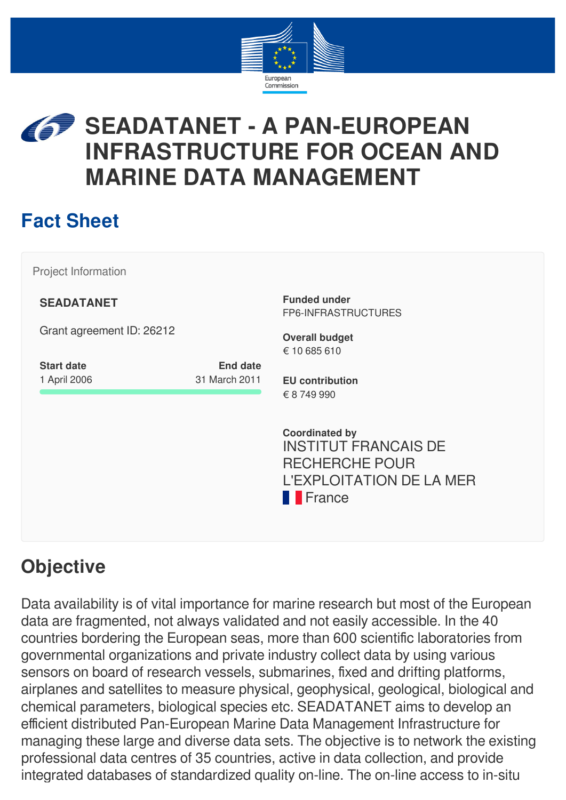

# **SEADATANET - A PAN-EUROPEAN INFRASTRUCTURE FOR OCEAN AND MARINE DATA MANAGEMENT**

# **Fact Sheet**

Project Information

**SEADATANET**

Grant agreement ID: 26212

| <b>Start date</b> | <b>End date</b> |
|-------------------|-----------------|
| 1 April 2006      | 31 March 2011   |

**Funded under** FP6-INFRASTRUCTURES

**Overall budget** € 10 685 610

**EU contribution** € 8 749 990

**Coordinated by** INSTITUT FRANCAIS DE RECHERCHE POUR L'EXPLOITATION DE LA MER **France** 

# **Objective**

Data availability is of vital importance for marine research but most of the European data are fragmented, not always validated and not easily accessible. In the 40 countries bordering the European seas, more than 600 scientific laboratories from governmental organizations and private industry collect data by using various sensors on board of research vessels, submarines, fixed and drifting platforms, airplanes and satellites to measure physical, geophysical, geological, biological and chemical parameters, biological species etc. SEADATANET aims to develop an efficient distributed Pan-European Marine Data Management Infrastructure for managing these large and diverse data sets. The objective is to network the existing professional data centres of 35 countries, active in data collection, and provide integrated databases of standardized quality on-line. The on-line access to in-situ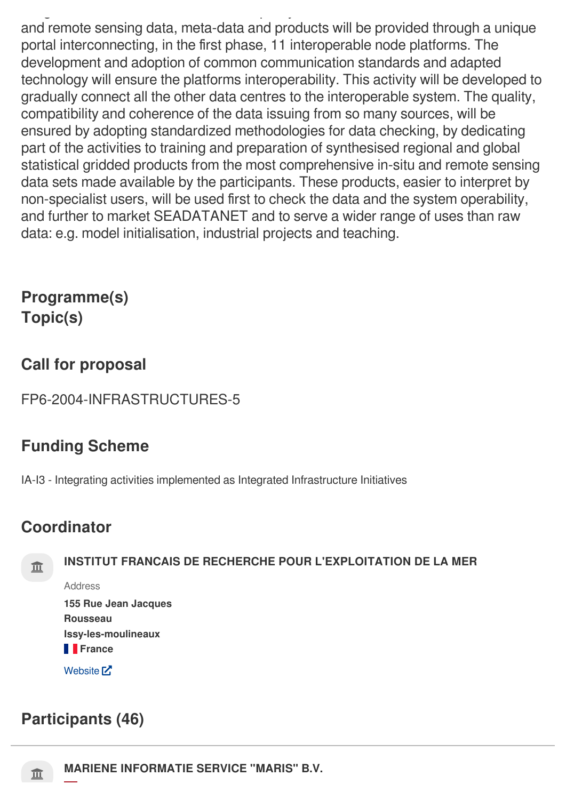and remote sensing data, meta-data and products will be provided through a unique portal interconnecting, in the first phase, 11 interoperable node platforms. The development and adoption of common communication standards and adapted technology will ensure the platforms interoperability. This activity will be developed to gradually connect all the other data centres to the interoperable system. The quality, compatibility and coherence of the data issuing from so many sources, will be ensured by adopting standardized methodologies for data checking, by dedicating part of the activities to training and preparation of synthesised regional and global statistical gridded products from the most comprehensive in-situ and remote sensing data sets made available by the participants. These products, easier to interpret by non-specialist users, will be used first to check the data and the system operability, and further to market SEADATANET and to serve a wider range of uses than raw data: e.g. model initialisation, industrial projects and teaching.

## **Programme(s) Topic(s)**

## **Call for proposal**

FP6-2004-INFRASTRUCTURES-5

g q y

## **Funding Scheme**

IA-I3 - Integrating activities implemented as Integrated Infrastructure Initiatives

## **Coordinator**



## **INSTITUT FRANCAIS DE RECHERCHE POUR L'EXPLOITATION DE LA MER**

Address

**155 Rue Jean Jacques Rousseau Issy-les-moulineaux France** 

[Website](http://www.ifremer.fr/)<sup>[2]</sup>

## **Participants (46)**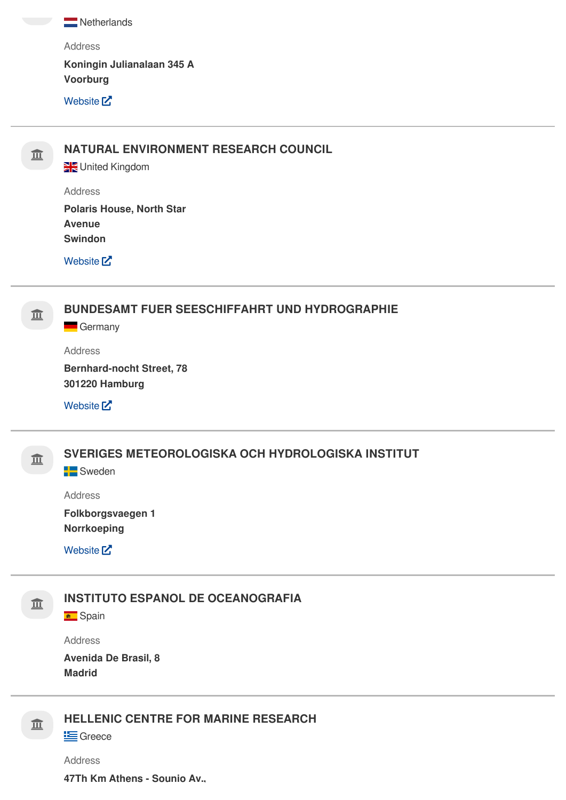Netherlands

Address **Koningin Julianalaan 345 A**

**Voorburg**

[Website](http://www.maris.nl/) **[7]** 

## **NATURAL ENVIRONMENT RESEARCH COUNCIL**

United Kingdom

Address

**Polaris House, North Star Avenue Swindon**

[Website](http://www.nerc.ac.uk/) M

**BUNDESAMT FUER SEESCHIFFAHRT UND HYDROGRAPHIE**

**Germany** 

Address

**Bernhard-nocht Street, 78 301220 Hamburg**

[Website](http://www.bsh.de/)<sup>[2]</sup>



**SVERIGES METEOROLOGISKA OCH HYDROLOGISKA INSTITUT**

**Sweden** 

Address

**Folkborgsvaegen 1 Norrkoeping**

[Website](http://www.eurogoos.org%20www.smhi.se/)<sup>[2]</sup>

亘

#### **INSTITUTO ESPANOL DE OCEANOGRAFIA**

**B** Spain

Address

**Avenida De Brasil, 8 Madrid**

#### 皿 **HELLENIC CENTRE FOR MARINE RESEARCH**

**E** Greece

Address

**47Th Km Athens - Sounio Av.,**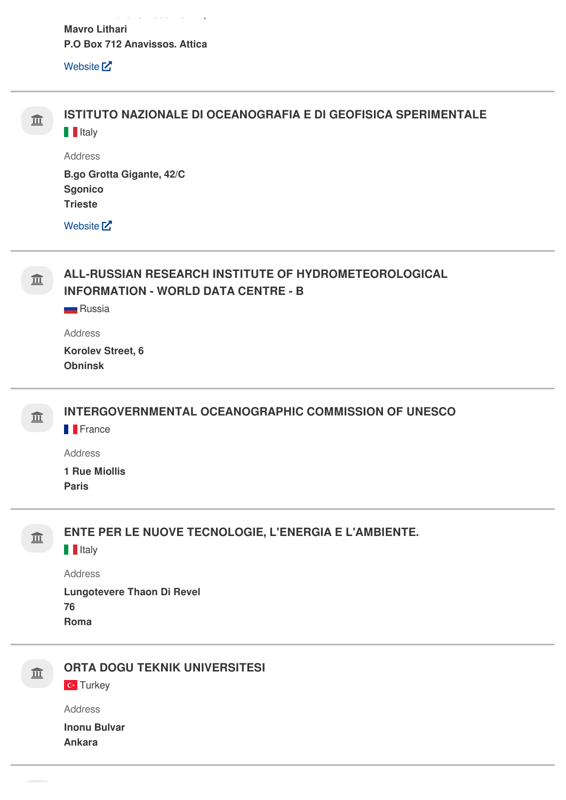$\omega_{\alpha\beta} = \omega_{\alpha\beta} = \omega_{\alpha\beta} = \omega_{\alpha\beta} = \omega_{\alpha\beta}$ **Mavro Lithari** P.O Box 712 Anavissos. Attica

Website<sup>[2]</sup>

 $\sim$ 

 $\sim$ 

 $\sim$ 

| 亚 | ISTITUTO NAZIONALE DI OCEANOGRAFIA E DI GEOFISICA SPERIMENTALE<br><b>T</b> Italy                                     |
|---|----------------------------------------------------------------------------------------------------------------------|
|   | <b>Address</b>                                                                                                       |
|   | B.go Grotta Gigante, 42/C                                                                                            |
|   | <b>Sgonico</b><br><b>Trieste</b>                                                                                     |
|   |                                                                                                                      |
|   | Website <sup>[2]</sup>                                                                                               |
| 亚 | ALL-RUSSIAN RESEARCH INSTITUTE OF HYDROMETEOROLOGICAL<br><b>INFORMATION - WORLD DATA CENTRE - B</b><br><b>Russia</b> |
|   |                                                                                                                      |
|   | <b>Address</b>                                                                                                       |
|   | Korolev Street, 6<br><b>Obninsk</b>                                                                                  |
|   |                                                                                                                      |
| 亚 | <b>INTERGOVERNMENTAL OCEANOGRAPHIC COMMISSION OF UNESCO</b>                                                          |
|   | <b>France</b>                                                                                                        |
|   | <b>Address</b>                                                                                                       |
|   | <b>1 Rue Miollis</b><br><b>Paris</b>                                                                                 |
|   |                                                                                                                      |
| ш | ENTE PER LE NUOVE TECNOLOGIE, L'ENERGIA E L'AMBIENTE.<br><b>I</b> Italy                                              |
|   | <b>Address</b>                                                                                                       |
|   | <b>Lungotevere Thaon Di Revel</b>                                                                                    |
|   | 76                                                                                                                   |
|   | Roma                                                                                                                 |
|   | <b>ORTA DOGU TEKNIK UNIVERSITESI</b>                                                                                 |
| 亚 | <b>C</b> Turkey                                                                                                      |
|   |                                                                                                                      |

Address **Inonu Bulvar** 

**Ankara**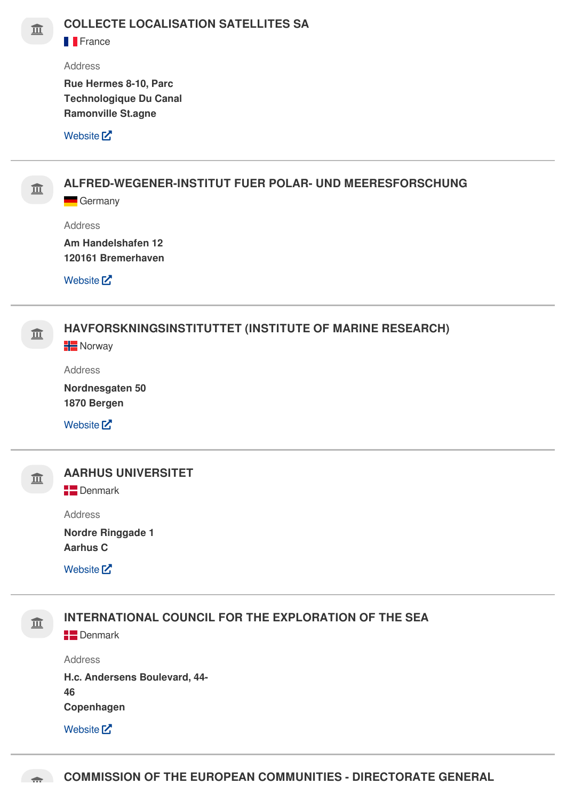**F**France

#### Address

**Rue Hermes 8-10, Parc Technologique Du Canal Ramonville St.agne**

#### [Website](http://www.cls.fr/)<sup>[7]</sup>



**ALFRED-WEGENER-INSTITUT FUER POLAR- UND MEERESFORSCHUNG**

**Germany** 

Address

**Am Handelshafen 12 120161 Bremerhaven**

[Website](http://www.awi-bremerhaven.de/) M



[Website](http://www.ices.dk/)<sup>[2]</sup>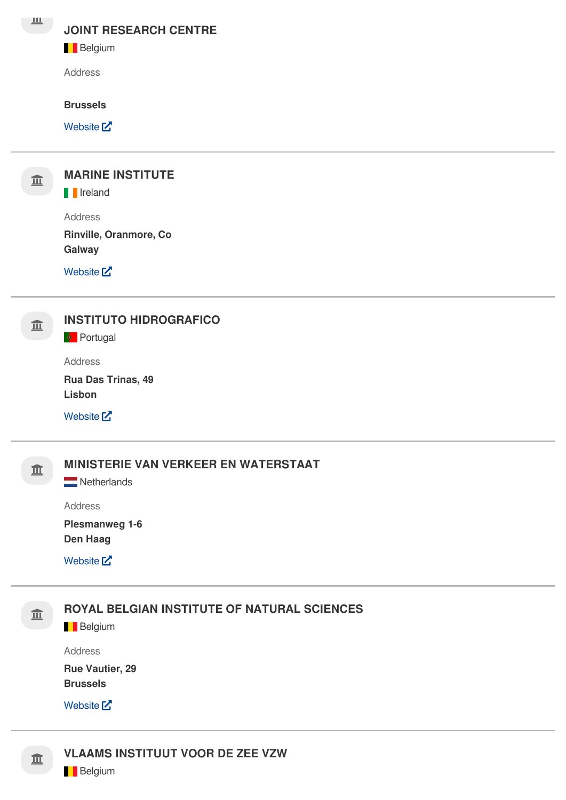#### **JOINT RESEARCH CENTRE**

#### **Belgium**

Address

#### **Brussels**

[Website](http://www.jrc.cec.eu.it/)<sup>[7]</sup>



## **MARINE INSTITUTE**

**I**I Ireland

Address

**Rinville, Oranmore, Co Galway**

[Website](http://www.marine.ie/) M

### **INSTITUTO HIDROGRAFICO**

**Portugal** 

Address

**Rua Das Trinas, 49 Lisbon**

[Website](http://www.hidrografico.pt/)<sup>[2]</sup>

## **MINISTERIE VAN VERKEER EN WATERSTAAT**

Netherlands

Address

**Plesmanweg 1-6 Den Haag**

[Website](http://www.minvenw.nl/)<sup>[2]</sup>



Address

**Rue Vautier, 29 Brussels**

[Website](http://www.mumm.ac.be/datacentre/)<sup>[7]</sup>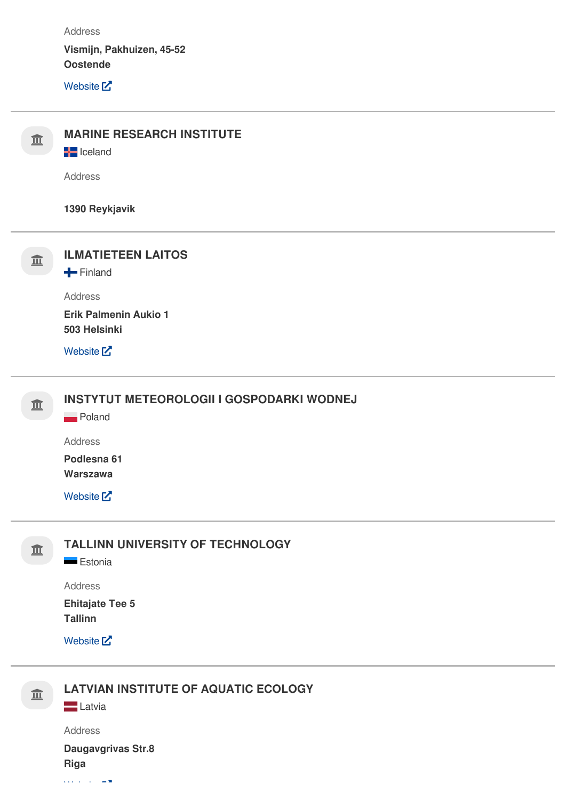Address

**Vismijn, Pakhuizen, 45-52 Oostende**

[Website](http://www.vliz.be/)<sup>[2]</sup>



**LATVIAN INSTITUTE OF AQUATIC ECOLOGY**

**Latvia** 

 $\cos \theta$  is a set of  $\theta$ 

Address **Daugavgrivas Str.8 Riga**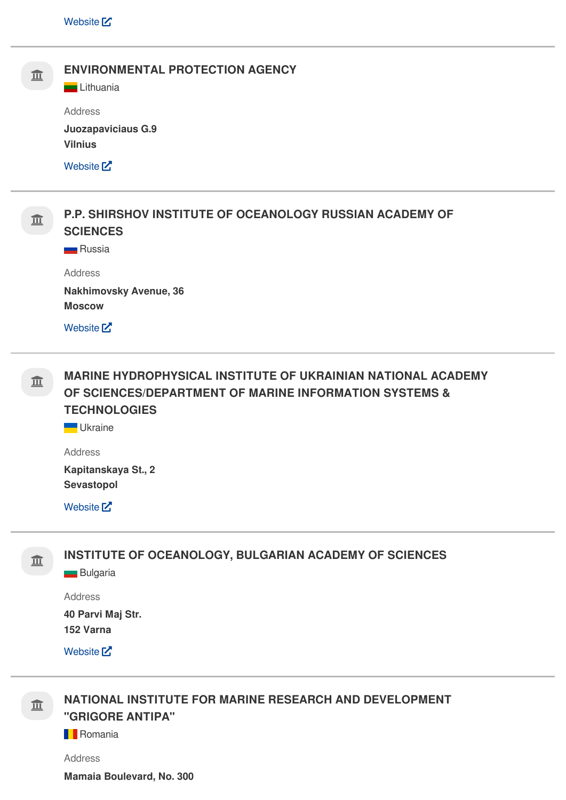

 **MARINE HYDROPHYSICAL INSTITUTE OF UKRAINIAN NATIONAL ACADEMY OF SCIENCES/DEPARTMENT OF MARINE INFORMATION SYSTEMS & TECHNOLOGIES**

**Ukraine** 

Address

**Kapitanskaya St., 2 Sevastopol**

[Website](http://www.mhi.iuf.net/)<sup>[2]</sup>



**INSTITUTE OF OCEANOLOGY, BULGARIAN ACADEMY OF SCIENCES**

**Bulgaria** 

Address

**40 Parvi Maj Str. 152 Varna**

[Website](http://www.io-bas.bg/)<sup>[2]</sup>



 **NATIONAL INSTITUTE FOR MARINE RESEARCH AND DEVELOPMENT "GRIGORE ANTIPA"**

**Romania** 

Address

**Mamaia Boulevard, No. 300**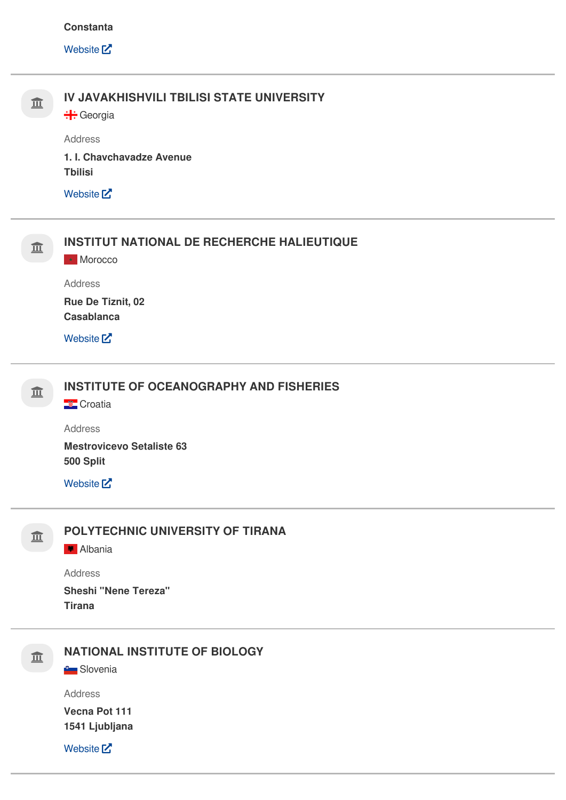#### **Constanta**

[Website](http://www.rmri.ro/)<sup>[2]</sup>

| 亘 | IV JAVAKHISHVILI TBILISI STATE UNIVERSITY         |
|---|---------------------------------------------------|
|   | Address                                           |
|   | 1. I. Chavchavadze Avenue<br><b>Tbilisi</b>       |
|   | Website <sup>[2]</sup>                            |
| 亚 | <b>INSTITUT NATIONAL DE RECHERCHE HALIEUTIQUE</b> |
|   | Morocco                                           |
|   | Address                                           |
|   | Rue De Tiznit, 02<br><b>Casablanca</b>            |
|   | Website <sup>[7]</sup>                            |
| 亘 | <b>INSTITUTE OF OCEANOGRAPHY AND FISHERIES</b>    |
|   | <b>Croatia</b>                                    |
|   | Address                                           |
|   | <b>Mestrovicevo Setaliste 63</b><br>500 Split     |
|   | Website <sup>[2]</sup>                            |
|   | POLYTECHNIC UNIVERSITY OF TIRANA                  |
| 亚 | Albania                                           |
|   | Address                                           |
|   | <b>Sheshi "Nene Tereza"</b>                       |
|   | <b>Tirana</b>                                     |
| 亘 | <b>NATIONAL INSTITUTE OF BIOLOGY</b>              |
|   | <b>C</b> Slovenia                                 |
|   | Address                                           |
|   | Vecna Pot 111<br>1541 Ljubljana                   |
|   | Website <sup>[2]</sup>                            |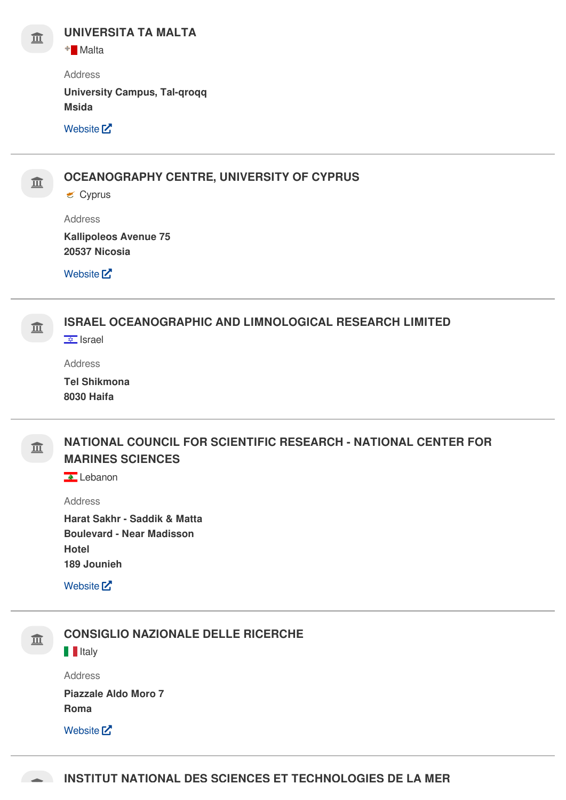

**+** Malta

Address

**University Campus, Tal-qroqq Msida**

[Website](http://www.um.edu.mt/) M



**OCEANOGRAPHY CENTRE, UNIVERSITY OF CYPRUS**

 $\epsilon$  Cyprus

Address

**Kallipoleos Avenue 75 20537 Nicosia**

[Website](http://www.ucy.ac.cy/)<sup>[7]</sup>



**I**srael

Address

**Tel Shikmona 8030 Haifa**

皿

### **NATIONAL COUNCIL FOR SCIENTIFIC RESEARCH - NATIONAL CENTER FOR MARINES SCIENCES**

**A** Lebanon

Address

**Harat Sakhr - Saddik & Matta Boulevard - Near Madisson Hotel 189 Jounieh**

[Website](http://www.cnrs.edu.lb/)<sup>[2]</sup>



#### **CONSIGLIO NAZIONALE DELLE RICERCHE**

**I**IItaly

Address **Piazzale Aldo Moro 7 Roma**

[Website](http://www.cnr.it/)<sup>[2]</sup>